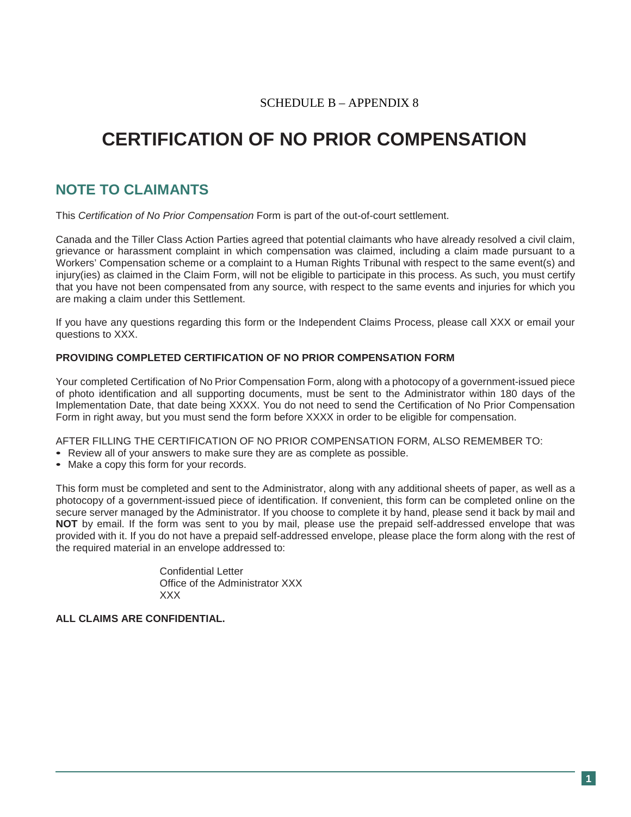### SCHEDULE B – APPENDIX 8

# **CERTIFICATION OF NO PRIOR COMPENSATION**

## **NOTE TO CLAIMANTS**

This *Certification of No Prior Compensation* Form is part of the out-of-court settlement.

Canada and the Tiller Class Action Parties agreed that potential claimants who have already resolved a civil claim, grievance or harassment complaint in which compensation was claimed, including a claim made pursuant to a Workers' Compensation scheme or a complaint to a Human Rights Tribunal with respect to the same event(s) and injury(ies) as claimed in the Claim Form, will not be eligible to participate in this process. As such, you must certify that you have not been compensated from any source, with respect to the same events and injuries for which you are making a claim under this Settlement.

If you have any questions regarding this form or the Independent Claims Process, please call XXX or email your questions to XXX.

#### **PROVIDING COMPLETED CERTIFICATION OF NO PRIOR COMPENSATION FORM**

Your completed Certification of No Prior Compensation Form, along with a photocopy of a government-issued piece of photo identification and all supporting documents, must be sent to the Administrator within 180 days of the Implementation Date, that date being XXXX. You do not need to send the Certification of No Prior Compensation Form in right away, but you must send the form before XXXX in order to be eligible for compensation.

AFTER FILLING THE CERTIFICATION OF NO PRIOR COMPENSATION FORM, ALSO REMEMBER TO:

- Review all of your answers to make sure they are as complete as possible.
- Make a copy this form for your records.

This form must be completed and sent to the Administrator, along with any additional sheets of paper, as well as a photocopy of a government-issued piece of identification. If convenient, this form can be completed online on the secure server managed by the Administrator. If you choose to complete it by hand, please send it back by mail and **NOT** by email. If the form was sent to you by mail, please use the prepaid self-addressed envelope that was provided with it. If you do not have a prepaid self-addressed envelope, please place the form along with the rest of the required material in an envelope addressed to:

> Confidential Letter Office of the Administrator XXX XXX

#### **ALL CLAIMS ARE CONFIDENTIAL.**